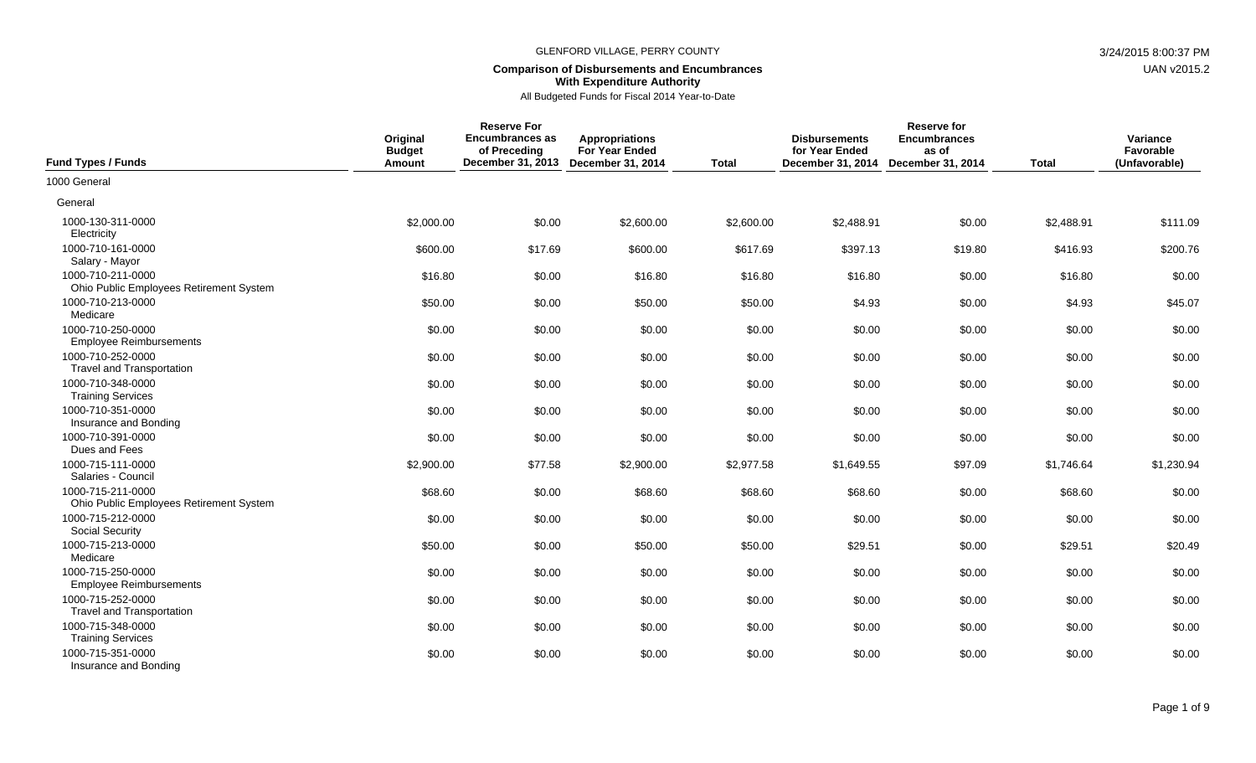## **Comparison of Disbursements and Encumbrances With Expenditure Authority**

| <b>Fund Types / Funds</b>                                    | Original<br><b>Budget</b><br>Amount | <b>Reserve For</b><br><b>Encumbrances as</b><br>of Preceding<br>December 31, 2013 December 31, 2014 | <b>Appropriations</b><br><b>For Year Ended</b> | <b>Total</b> | <b>Disbursements</b><br>for Year Ended<br>December 31, 2014 | <b>Reserve for</b><br><b>Encumbrances</b><br>as of<br>December 31, 2014 | <b>Total</b> | Variance<br>Favorable<br>(Unfavorable) |
|--------------------------------------------------------------|-------------------------------------|-----------------------------------------------------------------------------------------------------|------------------------------------------------|--------------|-------------------------------------------------------------|-------------------------------------------------------------------------|--------------|----------------------------------------|
| 1000 General                                                 |                                     |                                                                                                     |                                                |              |                                                             |                                                                         |              |                                        |
| General                                                      |                                     |                                                                                                     |                                                |              |                                                             |                                                                         |              |                                        |
| 1000-130-311-0000<br>Electricity                             | \$2,000.00                          | \$0.00                                                                                              | \$2,600.00                                     | \$2,600.00   | \$2,488.91                                                  | \$0.00                                                                  | \$2,488.91   | \$111.09                               |
| 1000-710-161-0000<br>Salary - Mayor                          | \$600.00                            | \$17.69                                                                                             | \$600.00                                       | \$617.69     | \$397.13                                                    | \$19.80                                                                 | \$416.93     | \$200.76                               |
| 1000-710-211-0000<br>Ohio Public Employees Retirement System | \$16.80                             | \$0.00                                                                                              | \$16.80                                        | \$16.80      | \$16.80                                                     | \$0.00                                                                  | \$16.80      | \$0.00                                 |
| 1000-710-213-0000<br>Medicare                                | \$50.00                             | \$0.00                                                                                              | \$50.00                                        | \$50.00      | \$4.93                                                      | \$0.00                                                                  | \$4.93       | \$45.07                                |
| 1000-710-250-0000<br><b>Employee Reimbursements</b>          | \$0.00                              | \$0.00                                                                                              | \$0.00                                         | \$0.00       | \$0.00                                                      | \$0.00                                                                  | \$0.00       | \$0.00                                 |
| 1000-710-252-0000<br><b>Travel and Transportation</b>        | \$0.00                              | \$0.00                                                                                              | \$0.00                                         | \$0.00       | \$0.00                                                      | \$0.00                                                                  | \$0.00       | \$0.00                                 |
| 1000-710-348-0000<br><b>Training Services</b>                | \$0.00                              | \$0.00                                                                                              | \$0.00                                         | \$0.00       | \$0.00                                                      | \$0.00                                                                  | \$0.00       | \$0.00                                 |
| 1000-710-351-0000<br>Insurance and Bonding                   | \$0.00                              | \$0.00                                                                                              | \$0.00                                         | \$0.00       | \$0.00                                                      | \$0.00                                                                  | \$0.00       | \$0.00                                 |
| 1000-710-391-0000<br>Dues and Fees                           | \$0.00                              | \$0.00                                                                                              | \$0.00                                         | \$0.00       | \$0.00                                                      | \$0.00                                                                  | \$0.00       | \$0.00                                 |
| 1000-715-111-0000<br>Salaries - Council                      | \$2,900.00                          | \$77.58                                                                                             | \$2,900.00                                     | \$2,977.58   | \$1,649.55                                                  | \$97.09                                                                 | \$1,746.64   | \$1,230.94                             |
| 1000-715-211-0000<br>Ohio Public Employees Retirement System | \$68.60                             | \$0.00                                                                                              | \$68.60                                        | \$68.60      | \$68.60                                                     | \$0.00                                                                  | \$68.60      | \$0.00                                 |
| 1000-715-212-0000<br><b>Social Security</b>                  | \$0.00                              | \$0.00                                                                                              | \$0.00                                         | \$0.00       | \$0.00                                                      | \$0.00                                                                  | \$0.00       | \$0.00                                 |
| 1000-715-213-0000<br>Medicare                                | \$50.00                             | \$0.00                                                                                              | \$50.00                                        | \$50.00      | \$29.51                                                     | \$0.00                                                                  | \$29.51      | \$20.49                                |
| 1000-715-250-0000<br><b>Employee Reimbursements</b>          | \$0.00                              | \$0.00                                                                                              | \$0.00                                         | \$0.00       | \$0.00                                                      | \$0.00                                                                  | \$0.00       | \$0.00                                 |
| 1000-715-252-0000<br><b>Travel and Transportation</b>        | \$0.00                              | \$0.00                                                                                              | \$0.00                                         | \$0.00       | \$0.00                                                      | \$0.00                                                                  | \$0.00       | \$0.00                                 |
| 1000-715-348-0000<br><b>Training Services</b>                | \$0.00                              | \$0.00                                                                                              | \$0.00                                         | \$0.00       | \$0.00                                                      | \$0.00                                                                  | \$0.00       | \$0.00                                 |
| 1000-715-351-0000<br>Insurance and Bonding                   | \$0.00                              | \$0.00                                                                                              | \$0.00                                         | \$0.00       | \$0.00                                                      | \$0.00                                                                  | \$0.00       | \$0.00                                 |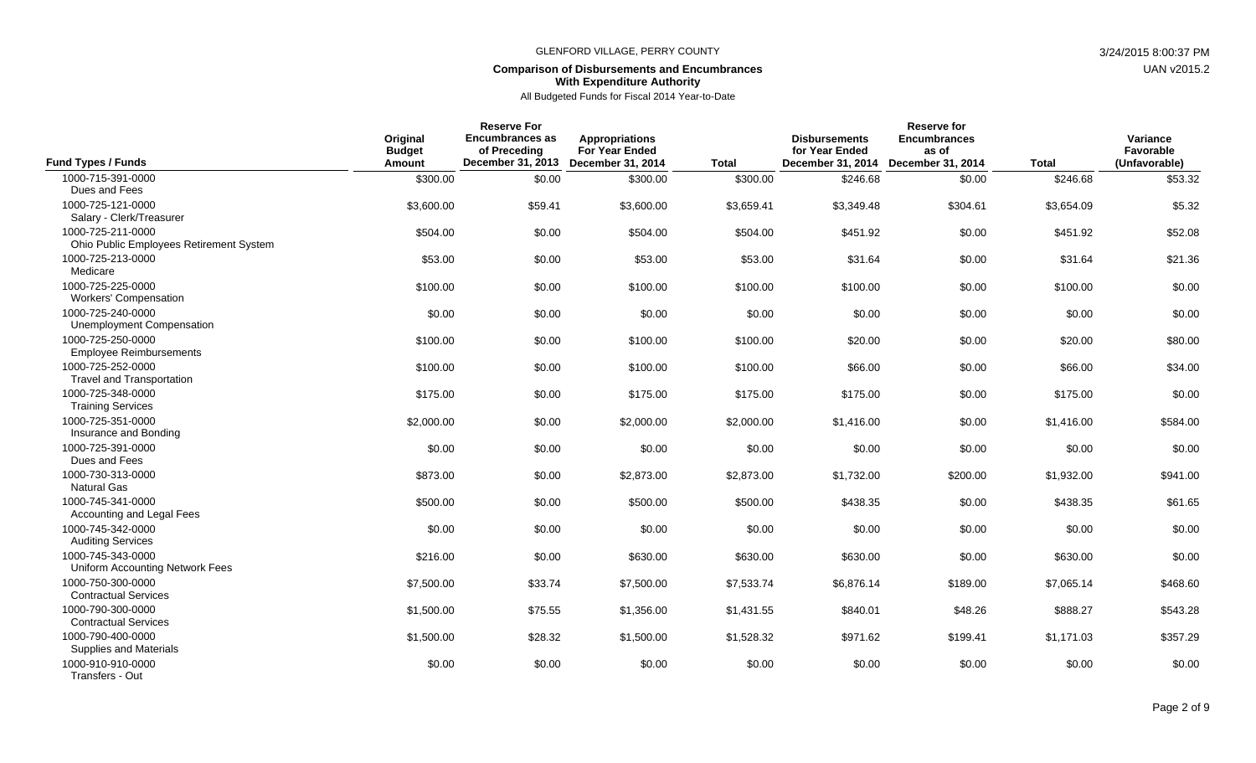## **Comparison of Disbursements and Encumbrances With Expenditure Authority**

| <b>Fund Types / Funds</b>                                    | Original<br><b>Budget</b><br><b>Amount</b> | <b>Reserve For</b><br><b>Encumbrances as</b><br>of Preceding<br>December 31, 2013 | <b>Appropriations</b><br><b>For Year Ended</b><br><b>December 31, 2014</b> | <b>Total</b> | <b>Disbursements</b><br>for Year Ended<br>December 31, 2014 | <b>Reserve for</b><br><b>Encumbrances</b><br>as of<br><b>December 31, 2014</b> | <b>Total</b> | Variance<br>Favorable<br>(Unfavorable) |
|--------------------------------------------------------------|--------------------------------------------|-----------------------------------------------------------------------------------|----------------------------------------------------------------------------|--------------|-------------------------------------------------------------|--------------------------------------------------------------------------------|--------------|----------------------------------------|
| 1000-715-391-0000                                            | \$300.00                                   | \$0.00                                                                            | \$300.00                                                                   | \$300.00     | \$246.68                                                    | \$0.00                                                                         | \$246.68     | \$53.32                                |
| Dues and Fees                                                |                                            |                                                                                   |                                                                            |              |                                                             |                                                                                |              |                                        |
| 1000-725-121-0000<br>Salary - Clerk/Treasurer                | \$3,600.00                                 | \$59.41                                                                           | \$3,600.00                                                                 | \$3,659.41   | \$3,349.48                                                  | \$304.61                                                                       | \$3,654.09   | \$5.32                                 |
| 1000-725-211-0000<br>Ohio Public Employees Retirement System | \$504.00                                   | \$0.00                                                                            | \$504.00                                                                   | \$504.00     | \$451.92                                                    | \$0.00                                                                         | \$451.92     | \$52.08                                |
| 1000-725-213-0000<br>Medicare                                | \$53.00                                    | \$0.00                                                                            | \$53.00                                                                    | \$53.00      | \$31.64                                                     | \$0.00                                                                         | \$31.64      | \$21.36                                |
| 1000-725-225-0000<br><b>Workers' Compensation</b>            | \$100.00                                   | \$0.00                                                                            | \$100.00                                                                   | \$100.00     | \$100.00                                                    | \$0.00                                                                         | \$100.00     | \$0.00                                 |
| 1000-725-240-0000<br><b>Unemployment Compensation</b>        | \$0.00                                     | \$0.00                                                                            | \$0.00                                                                     | \$0.00       | \$0.00                                                      | \$0.00                                                                         | \$0.00       | \$0.00                                 |
| 1000-725-250-0000<br><b>Employee Reimbursements</b>          | \$100.00                                   | \$0.00                                                                            | \$100.00                                                                   | \$100.00     | \$20.00                                                     | \$0.00                                                                         | \$20.00      | \$80.00                                |
| 1000-725-252-0000<br><b>Travel and Transportation</b>        | \$100.00                                   | \$0.00                                                                            | \$100.00                                                                   | \$100.00     | \$66.00                                                     | \$0.00                                                                         | \$66.00      | \$34.00                                |
| 1000-725-348-0000<br><b>Training Services</b>                | \$175.00                                   | \$0.00                                                                            | \$175.00                                                                   | \$175.00     | \$175.00                                                    | \$0.00                                                                         | \$175.00     | \$0.00                                 |
| 1000-725-351-0000<br>Insurance and Bonding                   | \$2,000.00                                 | \$0.00                                                                            | \$2,000.00                                                                 | \$2,000.00   | \$1,416.00                                                  | \$0.00                                                                         | \$1,416.00   | \$584.00                               |
| 1000-725-391-0000<br>Dues and Fees                           | \$0.00                                     | \$0.00                                                                            | \$0.00                                                                     | \$0.00       | \$0.00                                                      | \$0.00                                                                         | \$0.00       | \$0.00                                 |
| 1000-730-313-0000<br><b>Natural Gas</b>                      | \$873.00                                   | \$0.00                                                                            | \$2,873.00                                                                 | \$2,873.00   | \$1,732.00                                                  | \$200.00                                                                       | \$1,932.00   | \$941.00                               |
| 1000-745-341-0000<br>Accounting and Legal Fees               | \$500.00                                   | \$0.00                                                                            | \$500.00                                                                   | \$500.00     | \$438.35                                                    | \$0.00                                                                         | \$438.35     | \$61.65                                |
| 1000-745-342-0000<br><b>Auditing Services</b>                | \$0.00                                     | \$0.00                                                                            | \$0.00                                                                     | \$0.00       | \$0.00                                                      | \$0.00                                                                         | \$0.00       | \$0.00                                 |
| 1000-745-343-0000<br>Uniform Accounting Network Fees         | \$216.00                                   | \$0.00                                                                            | \$630.00                                                                   | \$630.00     | \$630.00                                                    | \$0.00                                                                         | \$630.00     | \$0.00                                 |
| 1000-750-300-0000<br><b>Contractual Services</b>             | \$7,500.00                                 | \$33.74                                                                           | \$7,500.00                                                                 | \$7,533.74   | \$6,876.14                                                  | \$189.00                                                                       | \$7,065.14   | \$468.60                               |
| 1000-790-300-0000<br><b>Contractual Services</b>             | \$1,500.00                                 | \$75.55                                                                           | \$1,356.00                                                                 | \$1,431.55   | \$840.01                                                    | \$48.26                                                                        | \$888.27     | \$543.28                               |
| 1000-790-400-0000<br>Supplies and Materials                  | \$1,500.00                                 | \$28.32                                                                           | \$1,500.00                                                                 | \$1,528.32   | \$971.62                                                    | \$199.41                                                                       | \$1,171.03   | \$357.29                               |
| 1000-910-910-0000<br>Transfers - Out                         | \$0.00                                     | \$0.00                                                                            | \$0.00                                                                     | \$0.00       | \$0.00                                                      | \$0.00                                                                         | \$0.00       | \$0.00                                 |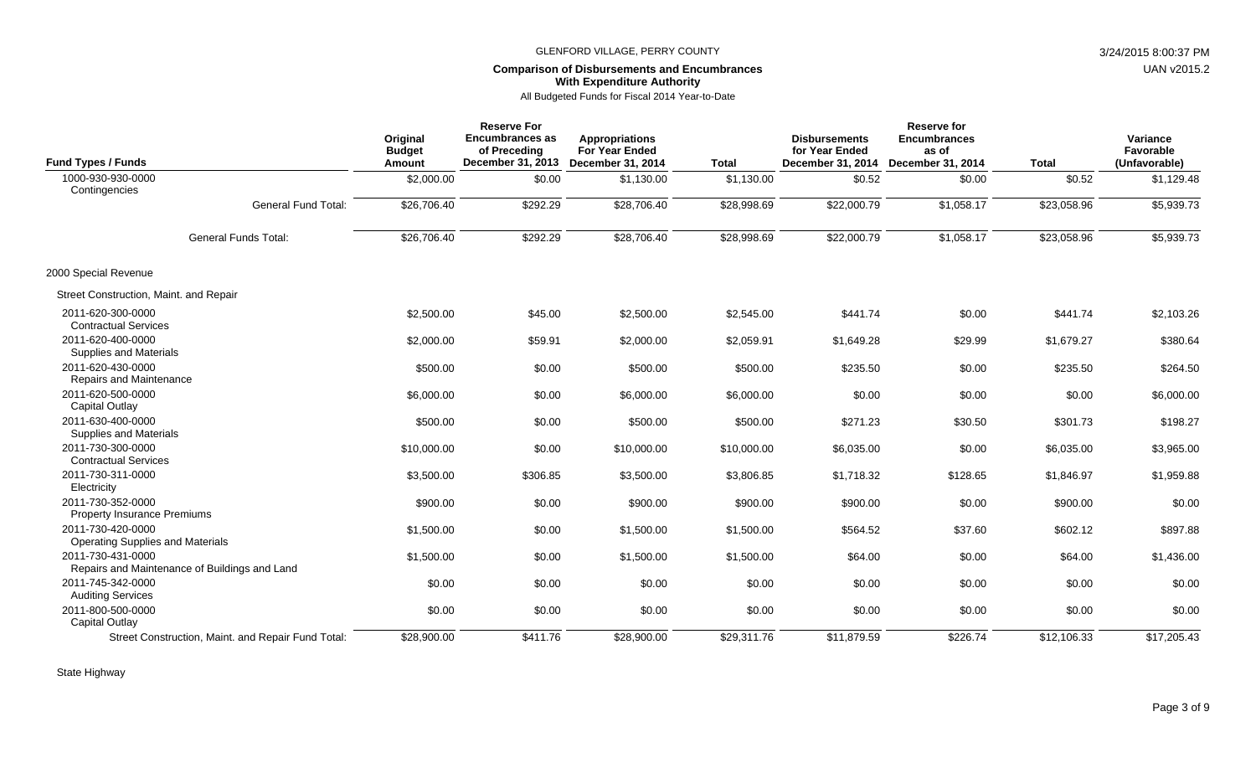# **Comparison of Disbursements and Encumbrances With Expenditure Authority**

| <b>Fund Types / Funds</b>                                          | Original<br><b>Budget</b><br>Amount | <b>Reserve For</b><br><b>Encumbrances as</b><br>of Preceding<br>December 31, 2013 | <b>Appropriations</b><br><b>For Year Ended</b><br><b>December 31, 2014</b> | <b>Total</b> | <b>Disbursements</b><br>for Year Ended<br>December 31, 2014 | <b>Reserve for</b><br><b>Encumbrances</b><br>as of<br>December 31, 2014 | <b>Total</b> | Variance<br>Favorable<br>(Unfavorable) |
|--------------------------------------------------------------------|-------------------------------------|-----------------------------------------------------------------------------------|----------------------------------------------------------------------------|--------------|-------------------------------------------------------------|-------------------------------------------------------------------------|--------------|----------------------------------------|
| 1000-930-930-0000                                                  | \$2,000.00                          | \$0.00                                                                            | \$1,130.00                                                                 | \$1,130.00   | \$0.52                                                      | \$0.00                                                                  | \$0.52       | \$1,129.48                             |
| Contingencies<br><b>General Fund Total:</b>                        | \$26,706.40                         | \$292.29                                                                          | \$28,706.40                                                                | \$28,998.69  | \$22,000.79                                                 | \$1,058.17                                                              | \$23,058.96  | \$5,939.73                             |
| <b>General Funds Total:</b>                                        | \$26,706.40                         | \$292.29                                                                          | \$28,706.40                                                                | \$28,998.69  | \$22,000.79                                                 | \$1,058.17                                                              | \$23,058.96  | \$5,939.73                             |
|                                                                    |                                     |                                                                                   |                                                                            |              |                                                             |                                                                         |              |                                        |
| 2000 Special Revenue                                               |                                     |                                                                                   |                                                                            |              |                                                             |                                                                         |              |                                        |
| Street Construction, Maint. and Repair                             |                                     |                                                                                   |                                                                            |              |                                                             |                                                                         |              |                                        |
| 2011-620-300-0000<br><b>Contractual Services</b>                   | \$2,500.00                          | \$45.00                                                                           | \$2,500.00                                                                 | \$2,545.00   | \$441.74                                                    | \$0.00                                                                  | \$441.74     | \$2,103.26                             |
| 2011-620-400-0000<br>Supplies and Materials                        | \$2,000.00                          | \$59.91                                                                           | \$2,000.00                                                                 | \$2,059.91   | \$1,649.28                                                  | \$29.99                                                                 | \$1,679.27   | \$380.64                               |
| 2011-620-430-0000<br>Repairs and Maintenance                       | \$500.00                            | \$0.00                                                                            | \$500.00                                                                   | \$500.00     | \$235.50                                                    | \$0.00                                                                  | \$235.50     | \$264.50                               |
| 2011-620-500-0000<br><b>Capital Outlay</b>                         | \$6,000.00                          | \$0.00                                                                            | \$6,000.00                                                                 | \$6,000.00   | \$0.00                                                      | \$0.00                                                                  | \$0.00       | \$6,000.00                             |
| 2011-630-400-0000<br>Supplies and Materials                        | \$500.00                            | \$0.00                                                                            | \$500.00                                                                   | \$500.00     | \$271.23                                                    | \$30.50                                                                 | \$301.73     | \$198.27                               |
| 2011-730-300-0000<br><b>Contractual Services</b>                   | \$10,000.00                         | \$0.00                                                                            | \$10,000.00                                                                | \$10,000.00  | \$6,035.00                                                  | \$0.00                                                                  | \$6,035.00   | \$3,965.00                             |
| 2011-730-311-0000<br>Electricity                                   | \$3,500.00                          | \$306.85                                                                          | \$3,500.00                                                                 | \$3,806.85   | \$1,718.32                                                  | \$128.65                                                                | \$1,846.97   | \$1,959.88                             |
| 2011-730-352-0000<br><b>Property Insurance Premiums</b>            | \$900.00                            | \$0.00                                                                            | \$900.00                                                                   | \$900.00     | \$900.00                                                    | \$0.00                                                                  | \$900.00     | \$0.00                                 |
| 2011-730-420-0000<br><b>Operating Supplies and Materials</b>       | \$1,500.00                          | \$0.00                                                                            | \$1,500.00                                                                 | \$1,500.00   | \$564.52                                                    | \$37.60                                                                 | \$602.12     | \$897.88                               |
| 2011-730-431-0000<br>Repairs and Maintenance of Buildings and Land | \$1,500.00                          | \$0.00                                                                            | \$1,500.00                                                                 | \$1,500.00   | \$64.00                                                     | \$0.00                                                                  | \$64.00      | \$1,436.00                             |
| 2011-745-342-0000<br><b>Auditing Services</b>                      | \$0.00                              | \$0.00                                                                            | \$0.00                                                                     | \$0.00       | \$0.00                                                      | \$0.00                                                                  | \$0.00       | \$0.00                                 |
| 2011-800-500-0000<br><b>Capital Outlay</b>                         | \$0.00                              | \$0.00                                                                            | \$0.00                                                                     | \$0.00       | \$0.00                                                      | \$0.00                                                                  | \$0.00       | \$0.00                                 |
| Street Construction, Maint. and Repair Fund Total:                 | \$28,900.00                         | \$411.76                                                                          | \$28,900.00                                                                | \$29,311.76  | \$11,879.59                                                 | \$226.74                                                                | \$12,106.33  | \$17,205.43                            |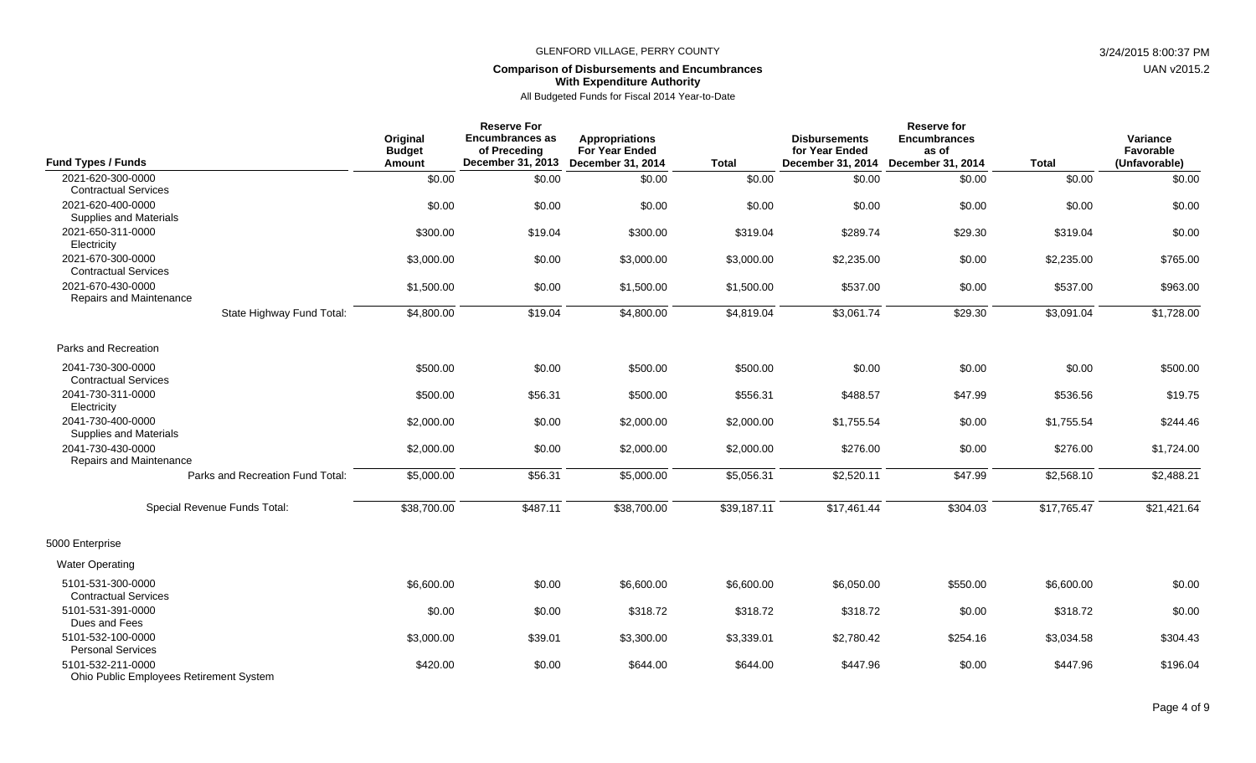#### **Comparison of Disbursements and Encumbrances With Expenditure Authority**

| <b>Fund Types / Funds</b>                                                  | Original<br><b>Budget</b><br>Amount | <b>Reserve For</b><br><b>Encumbrances as</b><br>of Preceding<br>December 31, 2013 | <b>Appropriations</b><br><b>For Year Ended</b><br>December 31, 2014 | <b>Total</b> | <b>Disbursements</b><br>for Year Ended<br>December 31, 2014 | Reserve for<br><b>Encumbrances</b><br>as of<br>December 31, 2014 | <b>Total</b> | Variance<br>Favorable<br>(Unfavorable) |
|----------------------------------------------------------------------------|-------------------------------------|-----------------------------------------------------------------------------------|---------------------------------------------------------------------|--------------|-------------------------------------------------------------|------------------------------------------------------------------|--------------|----------------------------------------|
| 2021-620-300-0000                                                          | \$0.00                              | \$0.00                                                                            | \$0.00                                                              | \$0.00       | \$0.00                                                      | \$0.00                                                           | \$0.00       | \$0.00                                 |
| <b>Contractual Services</b><br>2021-620-400-0000<br>Supplies and Materials | \$0.00                              | \$0.00                                                                            | \$0.00                                                              | \$0.00       | \$0.00                                                      | \$0.00                                                           | \$0.00       | \$0.00                                 |
| 2021-650-311-0000<br>Electricity                                           | \$300.00                            | \$19.04                                                                           | \$300.00                                                            | \$319.04     | \$289.74                                                    | \$29.30                                                          | \$319.04     | \$0.00                                 |
| 2021-670-300-0000<br><b>Contractual Services</b>                           | \$3,000.00                          | \$0.00                                                                            | \$3,000.00                                                          | \$3,000.00   | \$2,235.00                                                  | \$0.00                                                           | \$2,235.00   | \$765.00                               |
| 2021-670-430-0000<br>Repairs and Maintenance                               | \$1,500.00                          | \$0.00                                                                            | \$1,500.00                                                          | \$1,500.00   | \$537.00                                                    | \$0.00                                                           | \$537.00     | \$963.00                               |
| State Highway Fund Total:                                                  | \$4,800.00                          | \$19.04                                                                           | \$4,800.00                                                          | \$4,819.04   | \$3,061.74                                                  | \$29.30                                                          | \$3,091.04   | \$1,728.00                             |
| Parks and Recreation                                                       |                                     |                                                                                   |                                                                     |              |                                                             |                                                                  |              |                                        |
| 2041-730-300-0000<br><b>Contractual Services</b>                           | \$500.00                            | \$0.00                                                                            | \$500.00                                                            | \$500.00     | \$0.00                                                      | \$0.00                                                           | \$0.00       | \$500.00                               |
| 2041-730-311-0000<br>Electricity                                           | \$500.00                            | \$56.31                                                                           | \$500.00                                                            | \$556.31     | \$488.57                                                    | \$47.99                                                          | \$536.56     | \$19.75                                |
| 2041-730-400-0000<br><b>Supplies and Materials</b>                         | \$2,000.00                          | \$0.00                                                                            | \$2,000.00                                                          | \$2,000.00   | \$1,755.54                                                  | \$0.00                                                           | \$1,755.54   | \$244.46                               |
| 2041-730-430-0000<br>Repairs and Maintenance                               | \$2,000.00                          | \$0.00                                                                            | \$2,000.00                                                          | \$2,000.00   | \$276.00                                                    | \$0.00                                                           | \$276.00     | \$1,724.00                             |
| Parks and Recreation Fund Total:                                           | \$5,000.00                          | \$56.31                                                                           | \$5,000.00                                                          | \$5,056.31   | \$2,520.11                                                  | \$47.99                                                          | \$2,568.10   | \$2,488.21                             |
| Special Revenue Funds Total:                                               | \$38,700.00                         | \$487.11                                                                          | \$38,700.00                                                         | \$39,187.11  | \$17.461.44                                                 | \$304.03                                                         | \$17,765.47  | \$21,421.64                            |
| 5000 Enterprise                                                            |                                     |                                                                                   |                                                                     |              |                                                             |                                                                  |              |                                        |
| <b>Water Operating</b>                                                     |                                     |                                                                                   |                                                                     |              |                                                             |                                                                  |              |                                        |
| 5101-531-300-0000<br><b>Contractual Services</b>                           | \$6,600.00                          | \$0.00                                                                            | \$6,600.00                                                          | \$6,600.00   | \$6,050.00                                                  | \$550.00                                                         | \$6,600.00   | \$0.00                                 |
| 5101-531-391-0000<br>Dues and Fees                                         | \$0.00                              | \$0.00                                                                            | \$318.72                                                            | \$318.72     | \$318.72                                                    | \$0.00                                                           | \$318.72     | \$0.00                                 |
| 5101-532-100-0000<br><b>Personal Services</b>                              | \$3,000.00                          | \$39.01                                                                           | \$3,300.00                                                          | \$3,339.01   | \$2,780.42                                                  | \$254.16                                                         | \$3,034.58   | \$304.43                               |
| 5101-532-211-0000<br>Ohio Public Employees Retirement System               | \$420.00                            | \$0.00                                                                            | \$644.00                                                            | \$644.00     | \$447.96                                                    | \$0.00                                                           | \$447.96     | \$196.04                               |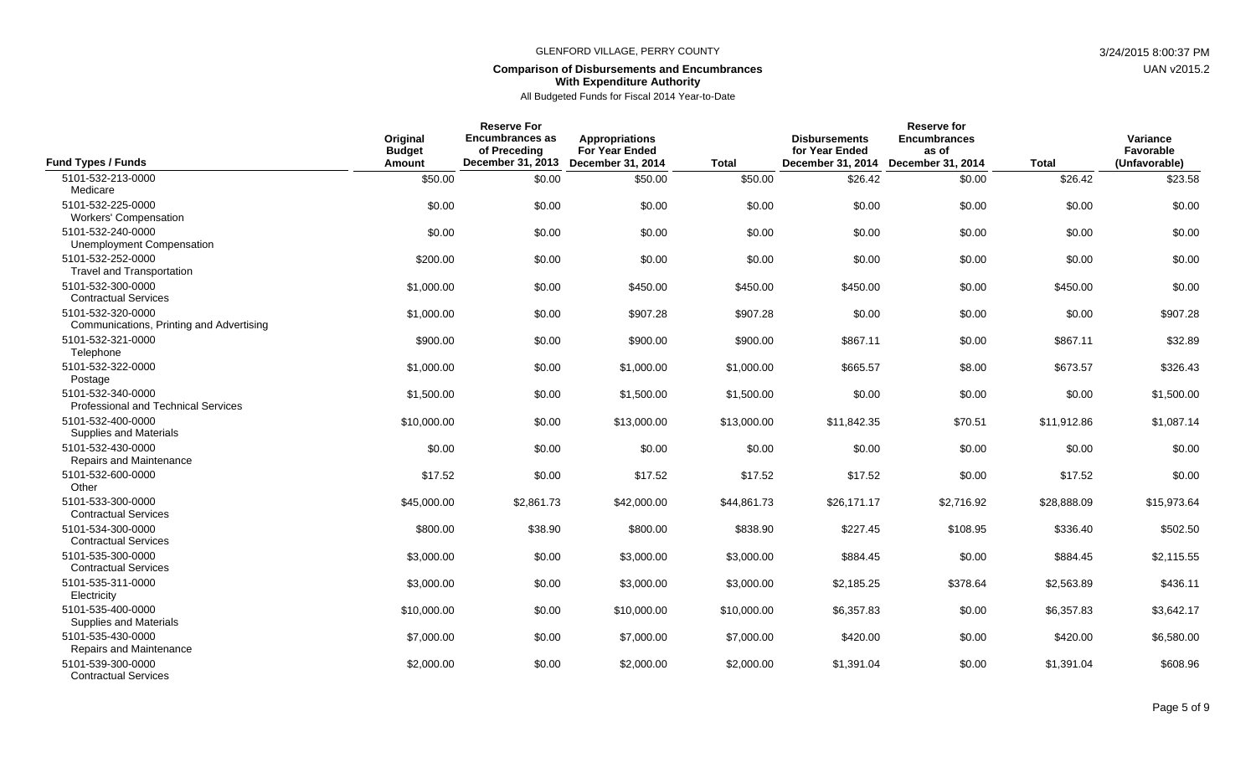### **Comparison of Disbursements and Encumbrances With Expenditure Authority**

| <b>Fund Types / Funds</b>                                       | Original<br><b>Budget</b><br>Amount | <b>Reserve For</b><br><b>Encumbrances as</b><br>of Preceding<br>December 31, 2013 | <b>Appropriations</b><br><b>For Year Ended</b><br><b>December 31, 2014</b> | <b>Total</b> | <b>Disbursements</b><br>for Year Ended<br>December 31, 2014 | Reserve for<br><b>Encumbrances</b><br>as of<br><b>December 31, 2014</b> | <b>Total</b> | Variance<br>Favorable<br>(Unfavorable) |
|-----------------------------------------------------------------|-------------------------------------|-----------------------------------------------------------------------------------|----------------------------------------------------------------------------|--------------|-------------------------------------------------------------|-------------------------------------------------------------------------|--------------|----------------------------------------|
| 5101-532-213-0000                                               | \$50.00                             | \$0.00                                                                            | \$50.00                                                                    | \$50.00      | \$26.42                                                     | \$0.00                                                                  | \$26.42      | \$23.58                                |
| Medicare<br>5101-532-225-0000<br><b>Workers' Compensation</b>   | \$0.00                              | \$0.00                                                                            | \$0.00                                                                     | \$0.00       | \$0.00                                                      | \$0.00                                                                  | \$0.00       | \$0.00                                 |
| 5101-532-240-0000<br>Unemployment Compensation                  | \$0.00                              | \$0.00                                                                            | \$0.00                                                                     | \$0.00       | \$0.00                                                      | \$0.00                                                                  | \$0.00       | \$0.00                                 |
| 5101-532-252-0000<br><b>Travel and Transportation</b>           | \$200.00                            | \$0.00                                                                            | \$0.00                                                                     | \$0.00       | \$0.00                                                      | \$0.00                                                                  | \$0.00       | \$0.00                                 |
| 5101-532-300-0000<br><b>Contractual Services</b>                | \$1,000.00                          | \$0.00                                                                            | \$450.00                                                                   | \$450.00     | \$450.00                                                    | \$0.00                                                                  | \$450.00     | \$0.00                                 |
| 5101-532-320-0000<br>Communications, Printing and Advertising   | \$1,000.00                          | \$0.00                                                                            | \$907.28                                                                   | \$907.28     | \$0.00                                                      | \$0.00                                                                  | \$0.00       | \$907.28                               |
| 5101-532-321-0000<br>Telephone                                  | \$900.00                            | \$0.00                                                                            | \$900.00                                                                   | \$900.00     | \$867.11                                                    | \$0.00                                                                  | \$867.11     | \$32.89                                |
| 5101-532-322-0000<br>Postage                                    | \$1,000.00                          | \$0.00                                                                            | \$1,000.00                                                                 | \$1,000.00   | \$665.57                                                    | \$8.00                                                                  | \$673.57     | \$326.43                               |
| 5101-532-340-0000<br><b>Professional and Technical Services</b> | \$1,500.00                          | \$0.00                                                                            | \$1,500.00                                                                 | \$1,500.00   | \$0.00                                                      | \$0.00                                                                  | \$0.00       | \$1,500.00                             |
| 5101-532-400-0000<br>Supplies and Materials                     | \$10,000.00                         | \$0.00                                                                            | \$13,000.00                                                                | \$13,000.00  | \$11,842.35                                                 | \$70.51                                                                 | \$11,912.86  | \$1,087.14                             |
| 5101-532-430-0000<br>Repairs and Maintenance                    | \$0.00                              | \$0.00                                                                            | \$0.00                                                                     | \$0.00       | \$0.00                                                      | \$0.00                                                                  | \$0.00       | \$0.00                                 |
| 5101-532-600-0000<br>Other                                      | \$17.52                             | \$0.00                                                                            | \$17.52                                                                    | \$17.52      | \$17.52                                                     | \$0.00                                                                  | \$17.52      | \$0.00                                 |
| 5101-533-300-0000<br><b>Contractual Services</b>                | \$45,000.00                         | \$2,861.73                                                                        | \$42,000.00                                                                | \$44,861.73  | \$26,171.17                                                 | \$2,716.92                                                              | \$28,888.09  | \$15,973.64                            |
| 5101-534-300-0000<br><b>Contractual Services</b>                | \$800.00                            | \$38.90                                                                           | \$800.00                                                                   | \$838.90     | \$227.45                                                    | \$108.95                                                                | \$336.40     | \$502.50                               |
| 5101-535-300-0000<br><b>Contractual Services</b>                | \$3,000.00                          | \$0.00                                                                            | \$3,000.00                                                                 | \$3,000.00   | \$884.45                                                    | \$0.00                                                                  | \$884.45     | \$2,115.55                             |
| 5101-535-311-0000<br>Electricity                                | \$3,000.00                          | \$0.00                                                                            | \$3,000.00                                                                 | \$3,000.00   | \$2,185.25                                                  | \$378.64                                                                | \$2,563.89   | \$436.11                               |
| 5101-535-400-0000<br>Supplies and Materials                     | \$10,000.00                         | \$0.00                                                                            | \$10,000.00                                                                | \$10,000.00  | \$6,357.83                                                  | \$0.00                                                                  | \$6,357.83   | \$3,642.17                             |
| 5101-535-430-0000<br>Repairs and Maintenance                    | \$7,000.00                          | \$0.00                                                                            | \$7,000.00                                                                 | \$7,000.00   | \$420.00                                                    | \$0.00                                                                  | \$420.00     | \$6,580.00                             |
| 5101-539-300-0000<br><b>Contractual Services</b>                | \$2,000.00                          | \$0.00                                                                            | \$2,000.00                                                                 | \$2,000.00   | \$1,391.04                                                  | \$0.00                                                                  | \$1,391.04   | \$608.96                               |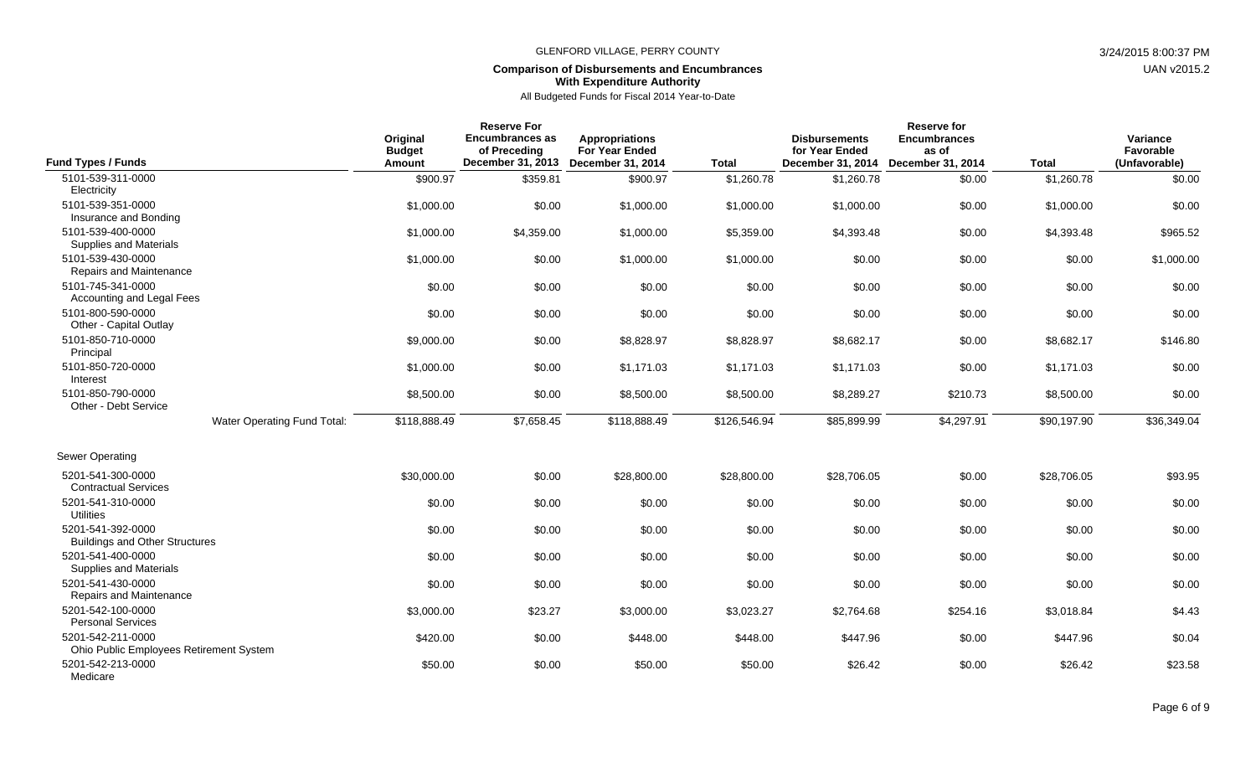### **Comparison of Disbursements and Encumbrances With Expenditure Authority**

| <b>Fund Types / Funds</b>                                    | Original<br><b>Budget</b><br><b>Amount</b> | <b>Reserve For</b><br><b>Encumbrances as</b><br>of Preceding<br>December 31, 2013 | <b>Appropriations</b><br><b>For Year Ended</b><br>December 31, 2014 | <b>Total</b> | <b>Disbursements</b><br>for Year Ended<br>December 31, 2014 | Reserve for<br><b>Encumbrances</b><br>as of<br>December 31, 2014 | <b>Total</b> | Variance<br>Favorable<br>(Unfavorable) |
|--------------------------------------------------------------|--------------------------------------------|-----------------------------------------------------------------------------------|---------------------------------------------------------------------|--------------|-------------------------------------------------------------|------------------------------------------------------------------|--------------|----------------------------------------|
| 5101-539-311-0000                                            | \$900.97                                   | \$359.81                                                                          | \$900.97                                                            | \$1,260.78   | \$1,260.78                                                  | \$0.00                                                           | \$1,260.78   | \$0.00                                 |
| Electricity<br>5101-539-351-0000<br>Insurance and Bonding    | \$1,000.00                                 | \$0.00                                                                            | \$1,000.00                                                          | \$1,000.00   | \$1,000.00                                                  | \$0.00                                                           | \$1,000.00   | \$0.00                                 |
| 5101-539-400-0000<br>Supplies and Materials                  | \$1,000.00                                 | \$4,359.00                                                                        | \$1,000.00                                                          | \$5,359.00   | \$4,393.48                                                  | \$0.00                                                           | \$4,393.48   | \$965.52                               |
| 5101-539-430-0000<br>Repairs and Maintenance                 | \$1,000.00                                 | \$0.00                                                                            | \$1,000.00                                                          | \$1,000.00   | \$0.00                                                      | \$0.00                                                           | \$0.00       | \$1,000.00                             |
| 5101-745-341-0000<br>Accounting and Legal Fees               | \$0.00                                     | \$0.00                                                                            | \$0.00                                                              | \$0.00       | \$0.00                                                      | \$0.00                                                           | \$0.00       | \$0.00                                 |
| 5101-800-590-0000<br>Other - Capital Outlay                  | \$0.00                                     | \$0.00                                                                            | \$0.00                                                              | \$0.00       | \$0.00                                                      | \$0.00                                                           | \$0.00       | \$0.00                                 |
| 5101-850-710-0000<br>Principal                               | \$9,000.00                                 | \$0.00                                                                            | \$8,828.97                                                          | \$8,828.97   | \$8,682.17                                                  | \$0.00                                                           | \$8,682.17   | \$146.80                               |
| 5101-850-720-0000<br>Interest                                | \$1,000.00                                 | \$0.00                                                                            | \$1,171.03                                                          | \$1,171.03   | \$1,171.03                                                  | \$0.00                                                           | \$1,171.03   | \$0.00                                 |
| 5101-850-790-0000<br>Other - Debt Service                    | \$8,500.00                                 | \$0.00                                                                            | \$8,500.00                                                          | \$8,500.00   | \$8,289.27                                                  | \$210.73                                                         | \$8,500.00   | \$0.00                                 |
| Water Operating Fund Total:                                  | \$118,888.49                               | \$7,658.45                                                                        | \$118,888.49                                                        | \$126,546.94 | \$85,899.99                                                 | \$4,297.91                                                       | \$90,197.90  | \$36,349.04                            |
| Sewer Operating                                              |                                            |                                                                                   |                                                                     |              |                                                             |                                                                  |              |                                        |
| 5201-541-300-0000<br><b>Contractual Services</b>             | \$30,000.00                                | \$0.00                                                                            | \$28,800.00                                                         | \$28,800.00  | \$28,706.05                                                 | \$0.00                                                           | \$28,706.05  | \$93.95                                |
| 5201-541-310-0000<br><b>Utilities</b>                        | \$0.00                                     | \$0.00                                                                            | \$0.00                                                              | \$0.00       | \$0.00                                                      | \$0.00                                                           | \$0.00       | \$0.00                                 |
| 5201-541-392-0000<br><b>Buildings and Other Structures</b>   | \$0.00                                     | \$0.00                                                                            | \$0.00                                                              | \$0.00       | \$0.00                                                      | \$0.00                                                           | \$0.00       | \$0.00                                 |
| 5201-541-400-0000<br>Supplies and Materials                  | \$0.00                                     | \$0.00                                                                            | \$0.00                                                              | \$0.00       | \$0.00                                                      | \$0.00                                                           | \$0.00       | \$0.00                                 |
| 5201-541-430-0000<br>Repairs and Maintenance                 | \$0.00                                     | \$0.00                                                                            | \$0.00                                                              | \$0.00       | \$0.00                                                      | \$0.00                                                           | \$0.00       | \$0.00                                 |
| 5201-542-100-0000<br><b>Personal Services</b>                | \$3,000.00                                 | \$23.27                                                                           | \$3,000.00                                                          | \$3,023.27   | \$2,764.68                                                  | \$254.16                                                         | \$3,018.84   | \$4.43                                 |
| 5201-542-211-0000<br>Ohio Public Employees Retirement System | \$420.00                                   | \$0.00                                                                            | \$448.00                                                            | \$448.00     | \$447.96                                                    | \$0.00                                                           | \$447.96     | \$0.04                                 |
| 5201-542-213-0000<br>Medicare                                | \$50.00                                    | \$0.00                                                                            | \$50.00                                                             | \$50.00      | \$26.42                                                     | \$0.00                                                           | \$26.42      | \$23.58                                |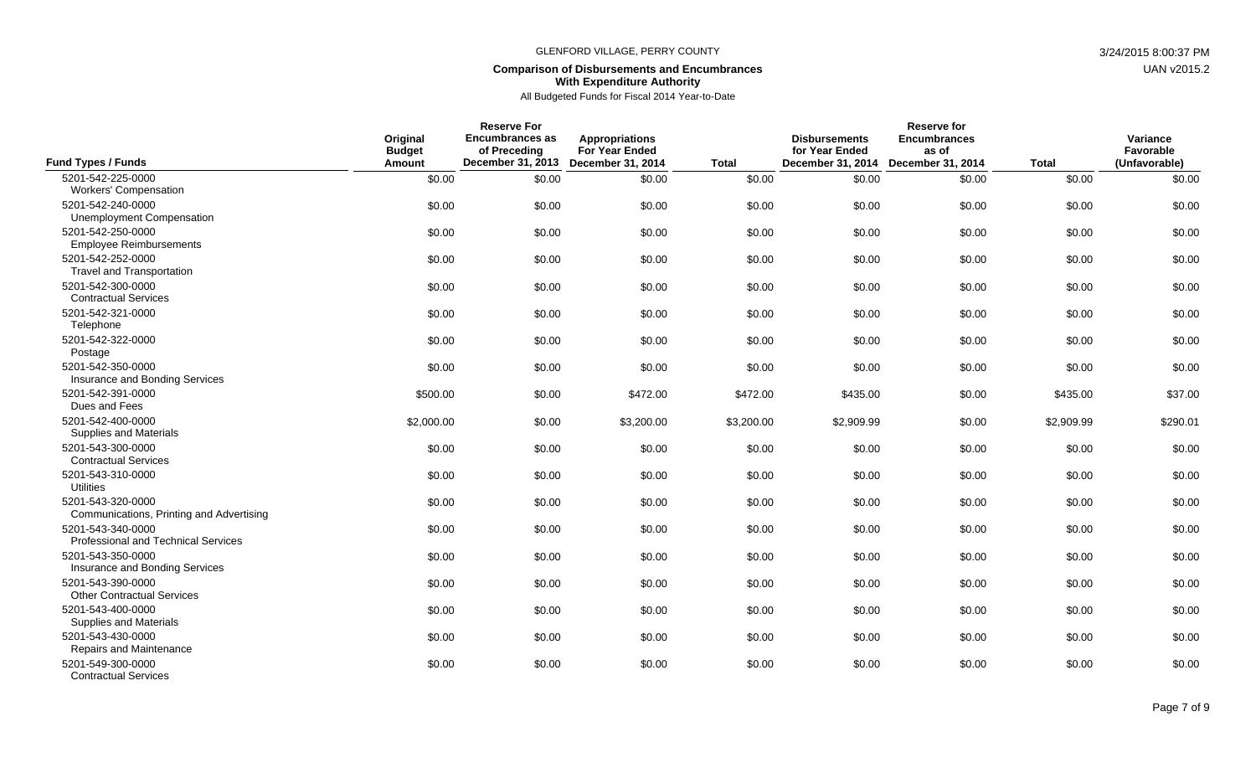### **Comparison of Disbursements and Encumbrances With Expenditure Authority**

All Budgeted Funds for Fiscal 2014 Year-to-Date

| <b>Fund Types / Funds</b>                                     | Original<br><b>Budget</b><br>Amount | <b>Reserve For</b><br><b>Encumbrances as</b><br>of Preceding<br>December 31, 2013 | <b>Appropriations</b><br><b>For Year Ended</b><br><b>December 31, 2014</b> | <b>Total</b> | <b>Disbursements</b><br>for Year Ended<br>December 31, 2014 | <b>Reserve for</b><br><b>Encumbrances</b><br>as of<br>December 31, 2014 | <b>Total</b> | Variance<br>Favorable<br>(Unfavorable) |
|---------------------------------------------------------------|-------------------------------------|-----------------------------------------------------------------------------------|----------------------------------------------------------------------------|--------------|-------------------------------------------------------------|-------------------------------------------------------------------------|--------------|----------------------------------------|
| 5201-542-225-0000                                             | \$0.00                              | \$0.00                                                                            | \$0.00                                                                     | \$0.00       | \$0.00                                                      | \$0.00                                                                  | \$0.00       | \$0.00                                 |
| <b>Workers' Compensation</b>                                  |                                     |                                                                                   |                                                                            |              |                                                             |                                                                         |              |                                        |
| 5201-542-240-0000<br><b>Unemployment Compensation</b>         | \$0.00                              | \$0.00                                                                            | \$0.00                                                                     | \$0.00       | \$0.00                                                      | \$0.00                                                                  | \$0.00       | \$0.00                                 |
| 5201-542-250-0000<br><b>Employee Reimbursements</b>           | \$0.00                              | \$0.00                                                                            | \$0.00                                                                     | \$0.00       | \$0.00                                                      | \$0.00                                                                  | \$0.00       | \$0.00                                 |
| 5201-542-252-0000<br><b>Travel and Transportation</b>         | \$0.00                              | \$0.00                                                                            | \$0.00                                                                     | \$0.00       | \$0.00                                                      | \$0.00                                                                  | \$0.00       | \$0.00                                 |
| 5201-542-300-0000<br><b>Contractual Services</b>              | \$0.00                              | \$0.00                                                                            | \$0.00                                                                     | \$0.00       | \$0.00                                                      | \$0.00                                                                  | \$0.00       | \$0.00                                 |
| 5201-542-321-0000<br>Telephone                                | \$0.00                              | \$0.00                                                                            | \$0.00                                                                     | \$0.00       | \$0.00                                                      | \$0.00                                                                  | \$0.00       | \$0.00                                 |
| 5201-542-322-0000<br>Postage                                  | \$0.00                              | \$0.00                                                                            | \$0.00                                                                     | \$0.00       | \$0.00                                                      | \$0.00                                                                  | \$0.00       | \$0.00                                 |
| 5201-542-350-0000<br>Insurance and Bonding Services           | \$0.00                              | \$0.00                                                                            | \$0.00                                                                     | \$0.00       | \$0.00                                                      | \$0.00                                                                  | \$0.00       | \$0.00                                 |
| 5201-542-391-0000<br>Dues and Fees                            | \$500.00                            | \$0.00                                                                            | \$472.00                                                                   | \$472.00     | \$435.00                                                    | \$0.00                                                                  | \$435.00     | \$37.00                                |
| 5201-542-400-0000<br>Supplies and Materials                   | \$2,000.00                          | \$0.00                                                                            | \$3,200.00                                                                 | \$3,200.00   | \$2,909.99                                                  | \$0.00                                                                  | \$2,909.99   | \$290.01                               |
| 5201-543-300-0000<br><b>Contractual Services</b>              | \$0.00                              | \$0.00                                                                            | \$0.00                                                                     | \$0.00       | \$0.00                                                      | \$0.00                                                                  | \$0.00       | \$0.00                                 |
| 5201-543-310-0000<br><b>Utilities</b>                         | \$0.00                              | \$0.00                                                                            | \$0.00                                                                     | \$0.00       | \$0.00                                                      | \$0.00                                                                  | \$0.00       | \$0.00                                 |
| 5201-543-320-0000<br>Communications, Printing and Advertising | \$0.00                              | \$0.00                                                                            | \$0.00                                                                     | \$0.00       | \$0.00                                                      | \$0.00                                                                  | \$0.00       | \$0.00                                 |
| 5201-543-340-0000<br>Professional and Technical Services      | \$0.00                              | \$0.00                                                                            | \$0.00                                                                     | \$0.00       | \$0.00                                                      | \$0.00                                                                  | \$0.00       | \$0.00                                 |
| 5201-543-350-0000<br>Insurance and Bonding Services           | \$0.00                              | \$0.00                                                                            | \$0.00                                                                     | \$0.00       | \$0.00                                                      | \$0.00                                                                  | \$0.00       | \$0.00                                 |
| 5201-543-390-0000<br><b>Other Contractual Services</b>        | \$0.00                              | \$0.00                                                                            | \$0.00                                                                     | \$0.00       | \$0.00                                                      | \$0.00                                                                  | \$0.00       | \$0.00                                 |
| 5201-543-400-0000<br>Supplies and Materials                   | \$0.00                              | \$0.00                                                                            | \$0.00                                                                     | \$0.00       | \$0.00                                                      | \$0.00                                                                  | \$0.00       | \$0.00                                 |
| 5201-543-430-0000<br>Repairs and Maintenance                  | \$0.00                              | \$0.00                                                                            | \$0.00                                                                     | \$0.00       | \$0.00                                                      | \$0.00                                                                  | \$0.00       | \$0.00                                 |
| 5201-549-300-0000<br><b>Contractual Services</b>              | \$0.00                              | \$0.00                                                                            | \$0.00                                                                     | \$0.00       | \$0.00                                                      | \$0.00                                                                  | \$0.00       | \$0.00                                 |

Page 7 of 9

UAN v2015.2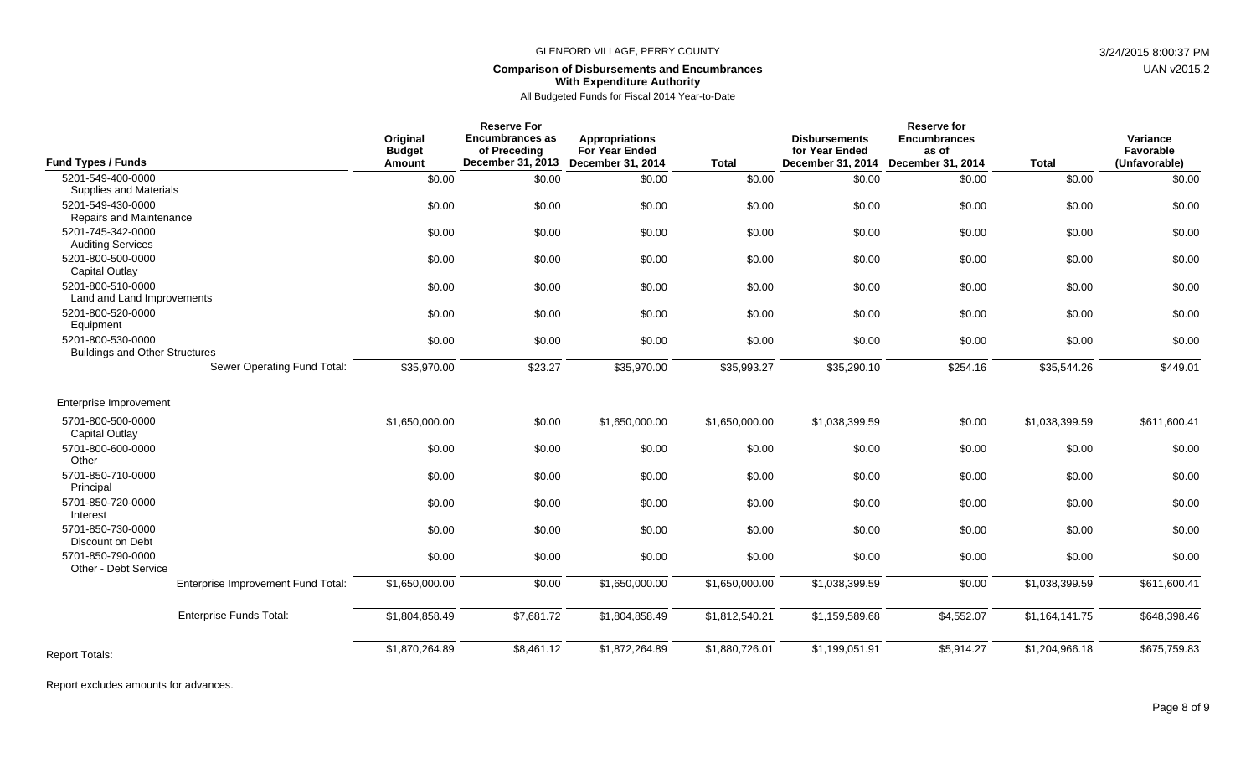#### **Comparison of Disbursements and Encumbrances With Expenditure Authority**

All Budgeted Funds for Fiscal 2014 Year-to-Date

| <b>Fund Types / Funds</b>                                              | Original<br><b>Budget</b><br>Amount | <b>Reserve For</b><br><b>Encumbrances as</b><br>of Preceding<br>December 31, 2013 | <b>Appropriations</b><br><b>For Year Ended</b><br><b>December 31, 2014</b> | <b>Total</b>   | <b>Disbursements</b><br>for Year Ended<br>December 31, 2014 | <b>Reserve for</b><br><b>Encumbrances</b><br>as of<br><b>December 31, 2014</b> | <b>Total</b>   | Variance<br>Favorable<br>(Unfavorable) |
|------------------------------------------------------------------------|-------------------------------------|-----------------------------------------------------------------------------------|----------------------------------------------------------------------------|----------------|-------------------------------------------------------------|--------------------------------------------------------------------------------|----------------|----------------------------------------|
| 5201-549-400-0000                                                      | \$0.00                              | \$0.00                                                                            | \$0.00                                                                     | \$0.00         | \$0.00                                                      | \$0.00                                                                         | \$0.00         | \$0.00                                 |
| Supplies and Materials<br>5201-549-430-0000<br>Repairs and Maintenance | \$0.00                              | \$0.00                                                                            | \$0.00                                                                     | \$0.00         | \$0.00                                                      | \$0.00                                                                         | \$0.00         | \$0.00                                 |
| 5201-745-342-0000<br><b>Auditing Services</b>                          | \$0.00                              | \$0.00                                                                            | \$0.00                                                                     | \$0.00         | \$0.00                                                      | \$0.00                                                                         | \$0.00         | \$0.00                                 |
| 5201-800-500-0000<br>Capital Outlay                                    | \$0.00                              | \$0.00                                                                            | \$0.00                                                                     | \$0.00         | \$0.00                                                      | \$0.00                                                                         | \$0.00         | \$0.00                                 |
| 5201-800-510-0000<br>Land and Land Improvements                        | \$0.00                              | \$0.00                                                                            | \$0.00                                                                     | \$0.00         | \$0.00                                                      | \$0.00                                                                         | \$0.00         | \$0.00                                 |
| 5201-800-520-0000<br>Equipment                                         | \$0.00                              | \$0.00                                                                            | \$0.00                                                                     | \$0.00         | \$0.00                                                      | \$0.00                                                                         | \$0.00         | \$0.00                                 |
| 5201-800-530-0000<br><b>Buildings and Other Structures</b>             | \$0.00                              | \$0.00                                                                            | \$0.00                                                                     | \$0.00         | \$0.00                                                      | \$0.00                                                                         | \$0.00         | \$0.00                                 |
| Sewer Operating Fund Total:                                            | \$35,970.00                         | \$23.27                                                                           | \$35,970.00                                                                | \$35,993.27    | \$35,290.10                                                 | \$254.16                                                                       | \$35,544.26    | \$449.01                               |
| Enterprise Improvement                                                 |                                     |                                                                                   |                                                                            |                |                                                             |                                                                                |                |                                        |
| 5701-800-500-0000<br>Capital Outlay                                    | \$1,650,000.00                      | \$0.00                                                                            | \$1,650,000.00                                                             | \$1,650,000.00 | \$1,038,399.59                                              | \$0.00                                                                         | \$1,038,399.59 | \$611,600.41                           |
| 5701-800-600-0000<br>Other                                             | \$0.00                              | \$0.00                                                                            | \$0.00                                                                     | \$0.00         | \$0.00                                                      | \$0.00                                                                         | \$0.00         | \$0.00                                 |
| 5701-850-710-0000<br>Principal                                         | \$0.00                              | \$0.00                                                                            | \$0.00                                                                     | \$0.00         | \$0.00                                                      | \$0.00                                                                         | \$0.00         | \$0.00                                 |
| 5701-850-720-0000<br>Interest                                          | \$0.00                              | \$0.00                                                                            | \$0.00                                                                     | \$0.00         | \$0.00                                                      | \$0.00                                                                         | \$0.00         | \$0.00                                 |
| 5701-850-730-0000<br>Discount on Debt                                  | \$0.00                              | \$0.00                                                                            | \$0.00                                                                     | \$0.00         | \$0.00                                                      | \$0.00                                                                         | \$0.00         | \$0.00                                 |
| 5701-850-790-0000<br>Other - Debt Service                              | \$0.00                              | \$0.00                                                                            | \$0.00                                                                     | \$0.00         | \$0.00                                                      | \$0.00                                                                         | \$0.00         | \$0.00                                 |
| Enterprise Improvement Fund Total:                                     | \$1,650,000.00                      | \$0.00                                                                            | \$1,650,000.00                                                             | \$1,650,000.00 | \$1,038,399.59                                              | \$0.00                                                                         | \$1,038,399.59 | \$611,600.41                           |
| <b>Enterprise Funds Total:</b>                                         | \$1,804,858.49                      | \$7,681.72                                                                        | \$1,804,858.49                                                             | \$1,812,540.21 | \$1,159,589.68                                              | \$4,552.07                                                                     | \$1,164,141.75 | \$648,398.46                           |
| <b>Report Totals:</b>                                                  | \$1,870,264.89                      | \$8,461.12                                                                        | \$1,872,264.89                                                             | \$1,880,726.01 | \$1,199,051.91                                              | \$5,914.27                                                                     | \$1,204,966.18 | \$675,759.83                           |
|                                                                        |                                     |                                                                                   |                                                                            |                |                                                             |                                                                                |                |                                        |

UAN v2015.2